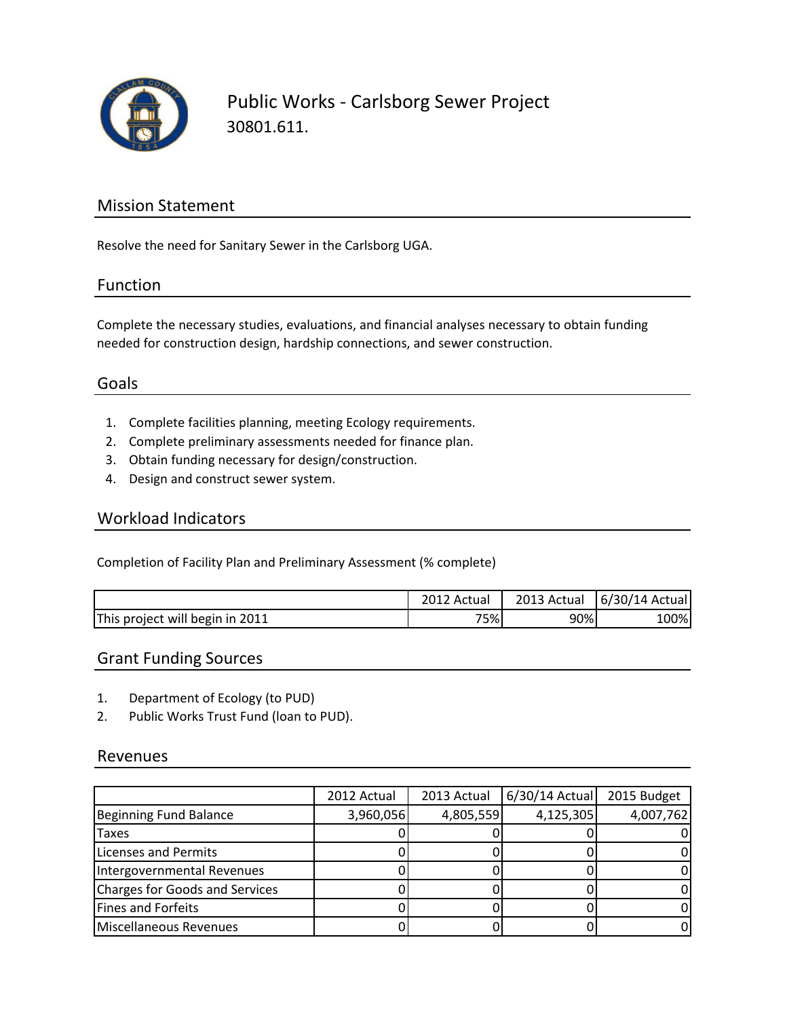

Public Works - Carlsborg Sewer Project 30801.611.

## Mission Statement

Resolve the need for Sanitary Sewer in the Carlsborg UGA.

#### Function

Complete the necessary studies, evaluations, and financial analyses necessary to obtain funding needed for construction design, hardship connections, and sewer construction.

### Goals

- 1. Complete facilities planning, meeting Ecology requirements.
- 2. Complete preliminary assessments needed for finance plan.
- 3. Obtain funding necessary for design/construction.
- 4. Design and construct sewer system.

#### Workload Indicators

Completion of Facility Plan and Preliminary Assessment (% complete)

|                                 | Actual | 2013 Actual | 6/30/14 Actual |
|---------------------------------|--------|-------------|----------------|
| This project will begin in 2011 | 75%    | 90%         | 100%           |

#### Grant Funding Sources

- 1. Department of Ecology (to PUD)
- 2. Public Works Trust Fund (loan to PUD).

#### Revenues

|                                       | 2012 Actual | 2013 Actual | $6/30/14$ Actual | 2015 Budget |
|---------------------------------------|-------------|-------------|------------------|-------------|
| Beginning Fund Balance                | 3,960,056   | 4,805,559   | 4,125,305        | 4,007,762   |
| <b>Taxes</b>                          |             |             |                  |             |
| Licenses and Permits                  |             |             |                  |             |
| Intergovernmental Revenues            |             |             |                  |             |
| <b>Charges for Goods and Services</b> |             |             |                  |             |
| Fines and Forfeits                    |             |             |                  |             |
| Miscellaneous Revenues                |             |             |                  |             |